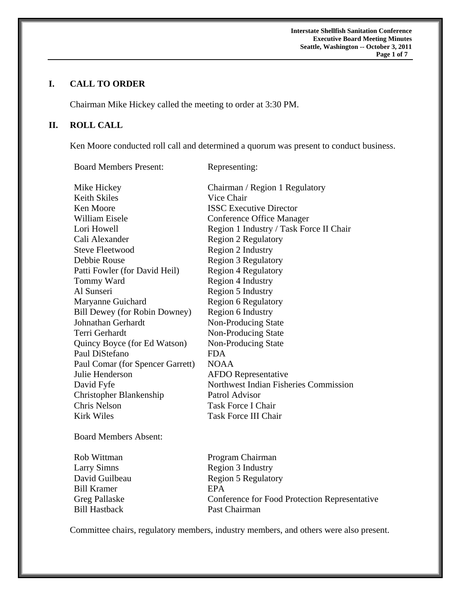**Interstate Shellfish Sanitation Conference Executive Board Meeting Minutes Seattle, Washington -- October 3, 2011**  *Page 1 of 7* 

# **I. CALL TO ORDER**

Chairman Mike Hickey called the meeting to order at 3:30 PM.

Board Members Present: Representing:

# **II. ROLL CALL**

Ken Moore conducted roll call and determined a quorum was present to conduct business.

| Mike Hickey                          | Chairman / Region 1 Regulatory          |
|--------------------------------------|-----------------------------------------|
| Keith Skiles                         | Vice Chair                              |
| Ken Moore                            | <b>ISSC Executive Director</b>          |
| William Eisele                       | Conference Office Manager               |
| Lori Howell                          | Region 1 Industry / Task Force II Chair |
| Cali Alexander                       | <b>Region 2 Regulatory</b>              |
| Steve Fleetwood                      | Region 2 Industry                       |
| Debbie Rouse                         | <b>Region 3 Regulatory</b>              |
| Patti Fowler (for David Heil)        | <b>Region 4 Regulatory</b>              |
| Tommy Ward                           | Region 4 Industry                       |
| Al Sunseri                           | Region 5 Industry                       |
| Maryanne Guichard                    | <b>Region 6 Regulatory</b>              |
| <b>Bill Dewey (for Robin Downey)</b> | Region 6 Industry                       |
| Johnathan Gerhardt                   | Non-Producing State                     |
| Terri Gerhardt                       | Non-Producing State                     |
| Quincy Boyce (for Ed Watson)         | Non-Producing State                     |
| Paul DiStefano                       | <b>FDA</b>                              |
| Paul Comar (for Spencer Garrett)     | <b>NOAA</b>                             |
| Julie Henderson                      | <b>AFDO</b> Representative              |
| David Fyfe                           | Northwest Indian Fisheries Commission   |
| Christopher Blankenship              | Patrol Advisor                          |
| Chris Nelson                         | <b>Task Force I Chair</b>               |
| Kirk Wiles                           | <b>Task Force III Chair</b>             |
|                                      |                                         |

Board Members Absent:

Bill Kramer **EPA** Bill Hastback Past Chairman

Rob Wittman Program Chairman Larry Simns Region 3 Industry David Guilbeau Region 5 Regulatory Greg Pallaske Conference for Food Protection Representative

Committee chairs, regulatory members, industry members, and others were also present.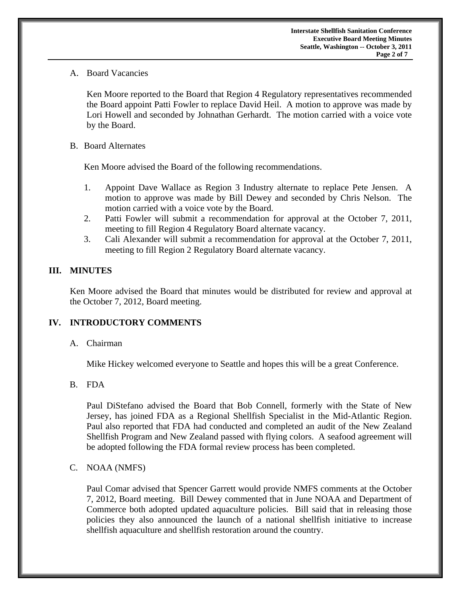A. Board Vacancies

 Ken Moore reported to the Board that Region 4 Regulatory representatives recommended the Board appoint Patti Fowler to replace David Heil. A motion to approve was made by Lori Howell and seconded by Johnathan Gerhardt. The motion carried with a voice vote by the Board.

B. Board Alternates

Ken Moore advised the Board of the following recommendations.

- 1. Appoint Dave Wallace as Region 3 Industry alternate to replace Pete Jensen. A motion to approve was made by Bill Dewey and seconded by Chris Nelson. The motion carried with a voice vote by the Board.
- 2. Patti Fowler will submit a recommendation for approval at the October 7, 2011, meeting to fill Region 4 Regulatory Board alternate vacancy.
- 3. Cali Alexander will submit a recommendation for approval at the October 7, 2011, meeting to fill Region 2 Regulatory Board alternate vacancy.

#### **III. MINUTES**

 Ken Moore advised the Board that minutes would be distributed for review and approval at the October 7, 2012, Board meeting.

# **IV. INTRODUCTORY COMMENTS**

#### A. Chairman

Mike Hickey welcomed everyone to Seattle and hopes this will be a great Conference.

#### B. FDA

Paul DiStefano advised the Board that Bob Connell, formerly with the State of New Jersey, has joined FDA as a Regional Shellfish Specialist in the Mid-Atlantic Region. Paul also reported that FDA had conducted and completed an audit of the New Zealand Shellfish Program and New Zealand passed with flying colors. A seafood agreement will be adopted following the FDA formal review process has been completed.

#### C. NOAA (NMFS)

Paul Comar advised that Spencer Garrett would provide NMFS comments at the October 7, 2012, Board meeting. Bill Dewey commented that in June NOAA and Department of Commerce both adopted updated aquaculture policies. Bill said that in releasing those policies they also announced the launch of a national shellfish initiative to increase shellfish aquaculture and shellfish restoration around the country.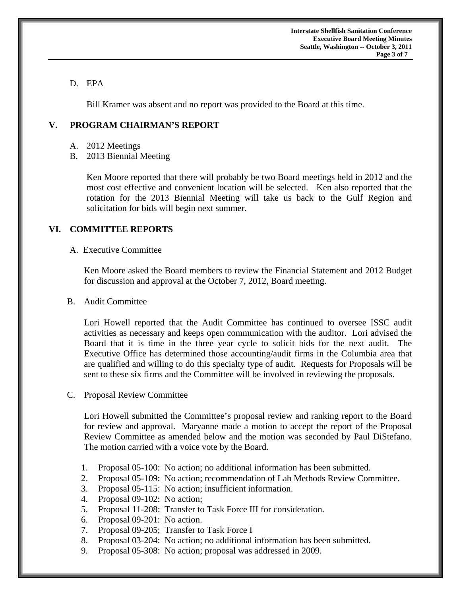**Interstate Shellfish Sanitation Conference Executive Board Meeting Minutes Seattle, Washington -- October 3, 2011 Page 3 of 7** 

# D. EPA

Bill Kramer was absent and no report was provided to the Board at this time.

### **V. PROGRAM CHAIRMAN'S REPORT**

- A. 2012 Meetings
- B. 2013 Biennial Meeting

Ken Moore reported that there will probably be two Board meetings held in 2012 and the most cost effective and convenient location will be selected. Ken also reported that the rotation for the 2013 Biennial Meeting will take us back to the Gulf Region and solicitation for bids will begin next summer.

# **VI. COMMITTEE REPORTS**

A. Executive Committee

 Ken Moore asked the Board members to review the Financial Statement and 2012 Budget for discussion and approval at the October 7, 2012, Board meeting.

B. Audit Committee

 Lori Howell reported that the Audit Committee has continued to oversee ISSC audit activities as necessary and keeps open communication with the auditor. Lori advised the Board that it is time in the three year cycle to solicit bids for the next audit. The Executive Office has determined those accounting/audit firms in the Columbia area that are qualified and willing to do this specialty type of audit. Requests for Proposals will be sent to these six firms and the Committee will be involved in reviewing the proposals.

C. Proposal Review Committee

 Lori Howell submitted the Committee's proposal review and ranking report to the Board for review and approval. Maryanne made a motion to accept the report of the Proposal Review Committee as amended below and the motion was seconded by Paul DiStefano. The motion carried with a voice vote by the Board.

- 1. Proposal 05-100: No action; no additional information has been submitted.
- 2. Proposal 05-109: No action; recommendation of Lab Methods Review Committee.
- 3. Proposal 05-115: No action; insufficient information.
- 4. Proposal 09-102: No action;
- 5. Proposal 11-208: Transfer to Task Force III for consideration.
- 6. Proposal 09-201: No action.
- 7. Proposal 09-205; Transfer to Task Force I
- 8. Proposal 03-204: No action; no additional information has been submitted.
- 9. Proposal 05-308: No action; proposal was addressed in 2009.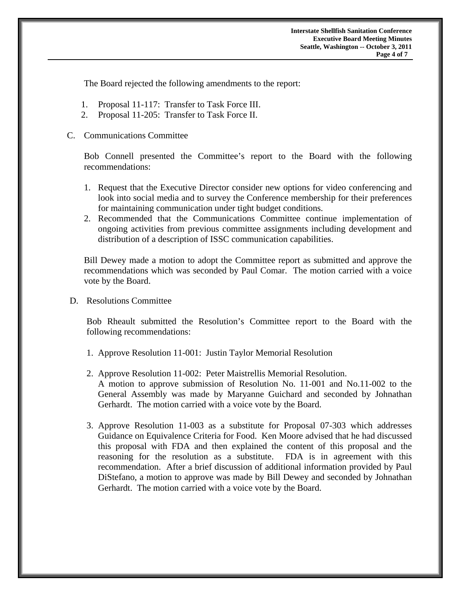The Board rejected the following amendments to the report:

- 1. Proposal 11-117: Transfer to Task Force III.
- 2. Proposal 11-205: Transfer to Task Force II.

#### C. Communications Committee

Bob Connell presented the Committee's report to the Board with the following recommendations:

- 1. Request that the Executive Director consider new options for video conferencing and look into social media and to survey the Conference membership for their preferences for maintaining communication under tight budget conditions.
- 2. Recommended that the Communications Committee continue implementation of ongoing activities from previous committee assignments including development and distribution of a description of ISSC communication capabilities.

Bill Dewey made a motion to adopt the Committee report as submitted and approve the recommendations which was seconded by Paul Comar. The motion carried with a voice vote by the Board.

D. Resolutions Committee

Bob Rheault submitted the Resolution's Committee report to the Board with the following recommendations:

- 1. Approve Resolution 11-001: Justin Taylor Memorial Resolution
- 2. Approve Resolution 11-002: Peter Maistrellis Memorial Resolution. A motion to approve submission of Resolution No. 11-001 and No.11-002 to the General Assembly was made by Maryanne Guichard and seconded by Johnathan Gerhardt. The motion carried with a voice vote by the Board.
- 3. Approve Resolution 11-003 as a substitute for Proposal 07-303 which addresses Guidance on Equivalence Criteria for Food. Ken Moore advised that he had discussed this proposal with FDA and then explained the content of this proposal and the reasoning for the resolution as a substitute. FDA is in agreement with this recommendation. After a brief discussion of additional information provided by Paul DiStefano, a motion to approve was made by Bill Dewey and seconded by Johnathan Gerhardt. The motion carried with a voice vote by the Board.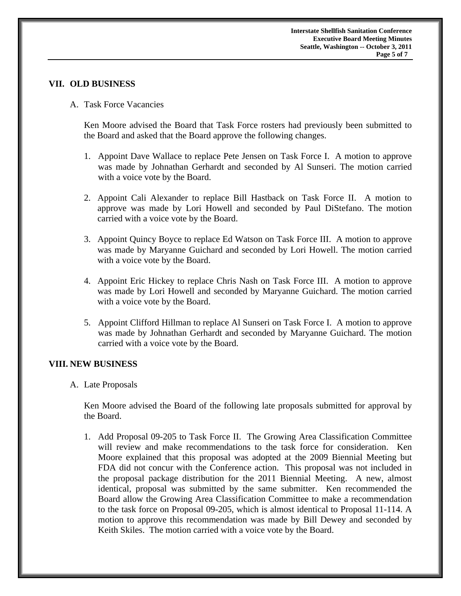#### **VII. OLD BUSINESS**

A. Task Force Vacancies

 Ken Moore advised the Board that Task Force rosters had previously been submitted to the Board and asked that the Board approve the following changes.

- 1. Appoint Dave Wallace to replace Pete Jensen on Task Force I. A motion to approve was made by Johnathan Gerhardt and seconded by Al Sunseri. The motion carried with a voice vote by the Board.
- 2. Appoint Cali Alexander to replace Bill Hastback on Task Force II. A motion to approve was made by Lori Howell and seconded by Paul DiStefano. The motion carried with a voice vote by the Board.
- 3. Appoint Quincy Boyce to replace Ed Watson on Task Force III. A motion to approve was made by Maryanne Guichard and seconded by Lori Howell. The motion carried with a voice vote by the Board.
- 4. Appoint Eric Hickey to replace Chris Nash on Task Force III. A motion to approve was made by Lori Howell and seconded by Maryanne Guichard. The motion carried with a voice vote by the Board.
- 5. Appoint Clifford Hillman to replace Al Sunseri on Task Force I. A motion to approve was made by Johnathan Gerhardt and seconded by Maryanne Guichard. The motion carried with a voice vote by the Board.

#### **VIII. NEW BUSINESS**

A. Late Proposals

 Ken Moore advised the Board of the following late proposals submitted for approval by the Board.

1. Add Proposal 09-205 to Task Force II. The Growing Area Classification Committee will review and make recommendations to the task force for consideration. Ken Moore explained that this proposal was adopted at the 2009 Biennial Meeting but FDA did not concur with the Conference action. This proposal was not included in the proposal package distribution for the 2011 Biennial Meeting. A new, almost identical, proposal was submitted by the same submitter. Ken recommended the Board allow the Growing Area Classification Committee to make a recommendation to the task force on Proposal 09-205, which is almost identical to Proposal 11-114. A motion to approve this recommendation was made by Bill Dewey and seconded by Keith Skiles. The motion carried with a voice vote by the Board.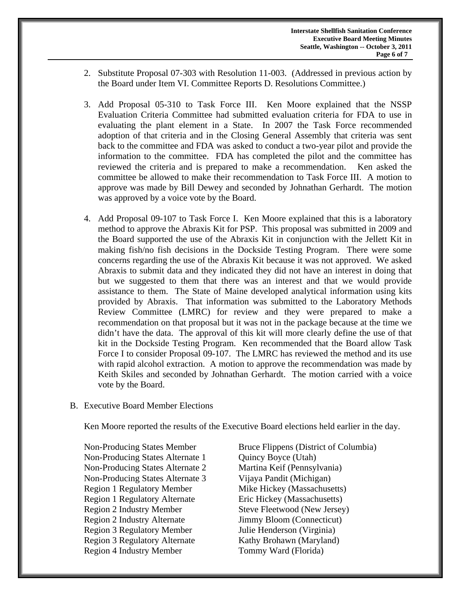- 2. Substitute Proposal 07-303 with Resolution 11-003. (Addressed in previous action by the Board under Item VI. Committee Reports D. Resolutions Committee.)
- 3. Add Proposal 05-310 to Task Force III. Ken Moore explained that the NSSP Evaluation Criteria Committee had submitted evaluation criteria for FDA to use in evaluating the plant element in a State. In 2007 the Task Force recommended adoption of that criteria and in the Closing General Assembly that criteria was sent back to the committee and FDA was asked to conduct a two-year pilot and provide the information to the committee. FDA has completed the pilot and the committee has reviewed the criteria and is prepared to make a recommendation. Ken asked the committee be allowed to make their recommendation to Task Force III. A motion to approve was made by Bill Dewey and seconded by Johnathan Gerhardt. The motion was approved by a voice vote by the Board.
- 4. Add Proposal 09-107 to Task Force I. Ken Moore explained that this is a laboratory method to approve the Abraxis Kit for PSP. This proposal was submitted in 2009 and the Board supported the use of the Abraxis Kit in conjunction with the Jellett Kit in making fish/no fish decisions in the Dockside Testing Program. There were some concerns regarding the use of the Abraxis Kit because it was not approved. We asked Abraxis to submit data and they indicated they did not have an interest in doing that but we suggested to them that there was an interest and that we would provide assistance to them. The State of Maine developed analytical information using kits provided by Abraxis. That information was submitted to the Laboratory Methods Review Committee (LMRC) for review and they were prepared to make a recommendation on that proposal but it was not in the package because at the time we didn't have the data. The approval of this kit will more clearly define the use of that kit in the Dockside Testing Program. Ken recommended that the Board allow Task Force I to consider Proposal 09-107. The LMRC has reviewed the method and its use with rapid alcohol extraction. A motion to approve the recommendation was made by Keith Skiles and seconded by Johnathan Gerhardt. The motion carried with a voice vote by the Board.
- B. Executive Board Member Elections

Ken Moore reported the results of the Executive Board elections held earlier in the day.

Non-Producing States Alternate 1 Quincy Boyce (Utah) Non-Producing States Alternate 2 Martina Keif (Pennsylvania) Non-Producing States Alternate 3 Vijaya Pandit (Michigan) Region 1 Regulatory Member Mike Hickey (Massachusetts) Region 1 Regulatory Alternate Eric Hickey (Massachusetts) Region 2 Industry Member Steve Fleetwood (New Jersey) Region 2 Industry Alternate Jimmy Bloom (Connecticut) Region 3 Regulatory Member Julie Henderson (Virginia) Region 3 Regulatory Alternate Kathy Brohawn (Maryland) Region 4 Industry Member Tommy Ward (Florida)

Non-Producing States Member Bruce Flippens (District of Columbia)